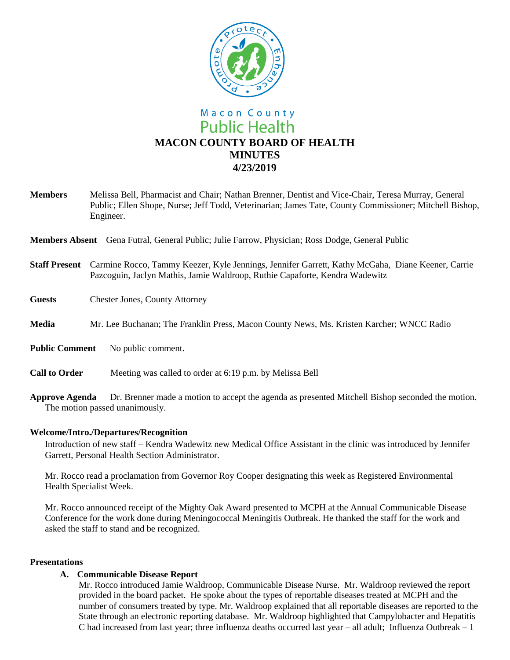

# **Public Health MACON COUNTY BOARD OF HEALTH MINUTES 4/23/2019**

**Members** Melissa Bell, Pharmacist and Chair; Nathan Brenner, Dentist and Vice-Chair, Teresa Murray, General Public; Ellen Shope, Nurse; Jeff Todd, Veterinarian; James Tate, County Commissioner; Mitchell Bishop, Engineer.

**Members Absent** Gena Futral, General Public; Julie Farrow, Physician; Ross Dodge, General Public

- **Staff Present** Carmine Rocco, Tammy Keezer, Kyle Jennings, Jennifer Garrett, Kathy McGaha, Diane Keener, Carrie Pazcoguin, Jaclyn Mathis, Jamie Waldroop, Ruthie Capaforte, Kendra Wadewitz
- **Guests** Chester Jones, County Attorney
- **Media** Mr. Lee Buchanan; The Franklin Press, Macon County News, Ms. Kristen Karcher; WNCC Radio
- **Public Comment** No public comment.
- **Call to Order** Meeting was called to order at 6:19 p.m. by Melissa Bell
- **Approve Agenda** Dr. Brenner made a motion to accept the agenda as presented Mitchell Bishop seconded the motion. The motion passed unanimously.

# **Welcome/Intro./Departures/Recognition**

Introduction of new staff – Kendra Wadewitz new Medical Office Assistant in the clinic was introduced by Jennifer Garrett, Personal Health Section Administrator.

Mr. Rocco read a proclamation from Governor Roy Cooper designating this week as Registered Environmental Health Specialist Week.

Mr. Rocco announced receipt of the Mighty Oak Award presented to MCPH at the Annual Communicable Disease Conference for the work done during Meningococcal Meningitis Outbreak. He thanked the staff for the work and asked the staff to stand and be recognized.

#### **Presentations**

# **A. Communicable Disease Report**

Mr. Rocco introduced Jamie Waldroop, Communicable Disease Nurse. Mr. Waldroop reviewed the report provided in the board packet. He spoke about the types of reportable diseases treated at MCPH and the number of consumers treated by type. Mr. Waldroop explained that all reportable diseases are reported to the State through an electronic reporting database. Mr. Waldroop highlighted that Campylobacter and Hepatitis C had increased from last year; three influenza deaths occurred last year – all adult; Influenza Outbreak – 1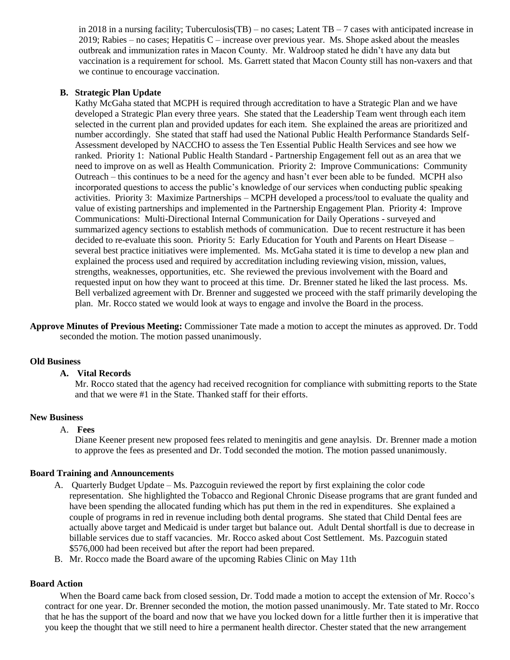in 2018 in a nursing facility; Tuberculosis(TB) – no cases; Latent  $TB - 7$  cases with anticipated increase in  $2019$ ; Rabies – no cases; Hepatitis C – increase over previous year. Ms. Shope asked about the measles outbreak and immunization rates in Macon County. Mr. Waldroop stated he didn't have any data but vaccination is a requirement for school. Ms. Garrett stated that Macon County still has non-vaxers and that we continue to encourage vaccination.

# **B. Strategic Plan Update**

Kathy McGaha stated that MCPH is required through accreditation to have a Strategic Plan and we have developed a Strategic Plan every three years. She stated that the Leadership Team went through each item selected in the current plan and provided updates for each item. She explained the areas are prioritized and number accordingly. She stated that staff had used the National Public Health Performance Standards Self-Assessment developed by NACCHO to assess the Ten Essential Public Health Services and see how we ranked. Priority 1: National Public Health Standard - Partnership Engagement fell out as an area that we need to improve on as well as Health Communication. Priority 2: Improve Communications: Community Outreach – this continues to be a need for the agency and hasn't ever been able to be funded. MCPH also incorporated questions to access the public's knowledge of our services when conducting public speaking activities. Priority 3: Maximize Partnerships – MCPH developed a process/tool to evaluate the quality and value of existing partnerships and implemented in the Partnership Engagement Plan. Priority 4: Improve Communications: Multi-Directional Internal Communication for Daily Operations - surveyed and summarized agency sections to establish methods of communication. Due to recent restructure it has been decided to re-evaluate this soon. Priority 5: Early Education for Youth and Parents on Heart Disease – several best practice initiatives were implemented. Ms. McGaha stated it is time to develop a new plan and explained the process used and required by accreditation including reviewing vision, mission, values, strengths, weaknesses, opportunities, etc. She reviewed the previous involvement with the Board and requested input on how they want to proceed at this time. Dr. Brenner stated he liked the last process. Ms. Bell verbalized agreement with Dr. Brenner and suggested we proceed with the staff primarily developing the plan. Mr. Rocco stated we would look at ways to engage and involve the Board in the process.

**Approve Minutes of Previous Meeting:** Commissioner Tate made a motion to accept the minutes as approved. Dr. Todd seconded the motion. The motion passed unanimously.

# **Old Business**

#### **A. Vital Records**

Mr. Rocco stated that the agency had received recognition for compliance with submitting reports to the State and that we were #1 in the State. Thanked staff for their efforts.

# **New Business**

### A. **Fees**

Diane Keener present new proposed fees related to meningitis and gene anaylsis. Dr. Brenner made a motion to approve the fees as presented and Dr. Todd seconded the motion. The motion passed unanimously.

### **Board Training and Announcements**

- A. Quarterly Budget Update Ms. Pazcoguin reviewed the report by first explaining the color code representation. She highlighted the Tobacco and Regional Chronic Disease programs that are grant funded and have been spending the allocated funding which has put them in the red in expenditures. She explained a couple of programs in red in revenue including both dental programs. She stated that Child Dental fees are actually above target and Medicaid is under target but balance out. Adult Dental shortfall is due to decrease in billable services due to staff vacancies. Mr. Rocco asked about Cost Settlement. Ms. Pazcoguin stated \$576,000 had been received but after the report had been prepared.
- B. Mr. Rocco made the Board aware of the upcoming Rabies Clinic on May 11th

# **Board Action**

When the Board came back from closed session, Dr. Todd made a motion to accept the extension of Mr. Rocco's contract for one year. Dr. Brenner seconded the motion, the motion passed unanimously. Mr. Tate stated to Mr. Rocco that he has the support of the board and now that we have you locked down for a little further then it is imperative that you keep the thought that we still need to hire a permanent health director. Chester stated that the new arrangement